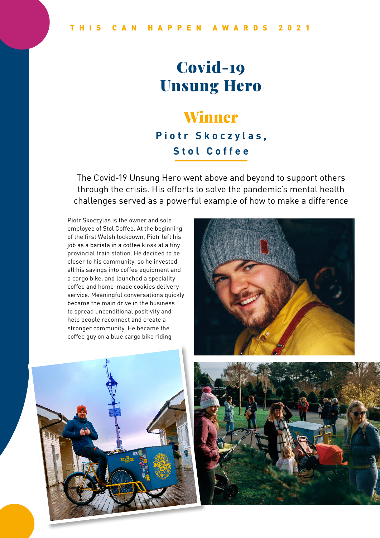# Covid-19 Unsung Hero

### Winner **Piotr Skoczylas, Stol Coffee**

The Covid-19 Unsung Hero went above and beyond to support others through the crisis. His efforts to solve the pandemic's mental health challenges served as a powerful example of how to make a difference

Piotr Skoczylas is the owner and sole employee of Stol Coffee. At the beginning of the first Welsh lockdown, Piotr left his job as a barista in a coffee kiosk at a tiny provincial train station. He decided to be closer to his community, so he invested all his savings into coffee equipment and a cargo bike, and launched a speciality coffee and home-made cookies delivery service. Meaningful conversations quickly became the main drive in the business to spread unconditional positivity and help people reconnect and create a stronger community. He became the coffee guy on a blue cargo bike riding